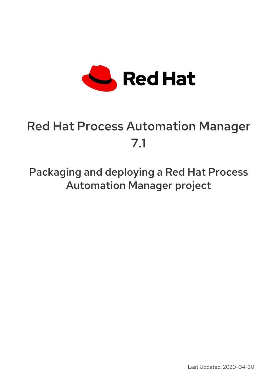

# Red Hat Process Automation Manager 7.1

Packaging and deploying a Red Hat Process Automation Manager project

Last Updated: 2020-04-30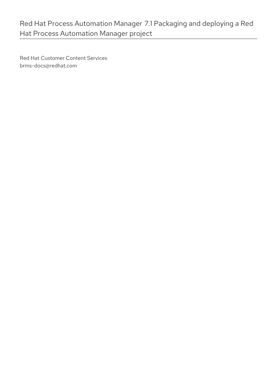Red Hat Customer Content Services brms-docs@redhat.com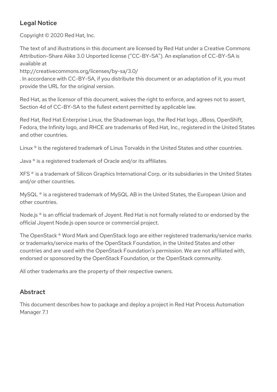### Legal Notice

Copyright © 2020 Red Hat, Inc.

The text of and illustrations in this document are licensed by Red Hat under a Creative Commons Attribution–Share Alike 3.0 Unported license ("CC-BY-SA"). An explanation of CC-BY-SA is available at

http://creativecommons.org/licenses/by-sa/3.0/

. In accordance with CC-BY-SA, if you distribute this document or an adaptation of it, you must provide the URL for the original version.

Red Hat, as the licensor of this document, waives the right to enforce, and agrees not to assert, Section 4d of CC-BY-SA to the fullest extent permitted by applicable law.

Red Hat, Red Hat Enterprise Linux, the Shadowman logo, the Red Hat logo, JBoss, OpenShift, Fedora, the Infinity logo, and RHCE are trademarks of Red Hat, Inc., registered in the United States and other countries.

Linux ® is the registered trademark of Linus Torvalds in the United States and other countries.

Java ® is a registered trademark of Oracle and/or its affiliates.

XFS ® is a trademark of Silicon Graphics International Corp. or its subsidiaries in the United States and/or other countries.

MySQL<sup>®</sup> is a registered trademark of MySQL AB in the United States, the European Union and other countries.

Node.js ® is an official trademark of Joyent. Red Hat is not formally related to or endorsed by the official Joyent Node.js open source or commercial project.

The OpenStack ® Word Mark and OpenStack logo are either registered trademarks/service marks or trademarks/service marks of the OpenStack Foundation, in the United States and other countries and are used with the OpenStack Foundation's permission. We are not affiliated with, endorsed or sponsored by the OpenStack Foundation, or the OpenStack community.

All other trademarks are the property of their respective owners.

### Abstract

This document describes how to package and deploy a project in Red Hat Process Automation Manager 7.1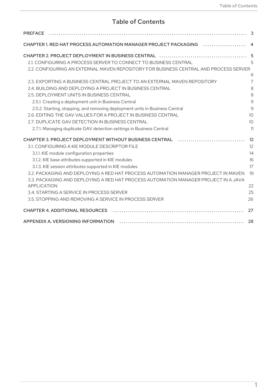### Table of Contents

| CHAPTER 1. RED HAT PROCESS AUTOMATION MANAGER PROJECT PACKAGING  4                    |    |
|---------------------------------------------------------------------------------------|----|
|                                                                                       |    |
| 2.1. CONFIGURING A PROCESS SERVER TO CONNECT TO BUSINESS CENTRAL                      |    |
| 2.2. CONFIGURING AN EXTERNAL MAVEN REPOSITORY FOR BUSINESS CENTRAL AND PROCESS SERVER |    |
|                                                                                       |    |
| 2.3. EXPORTING A BUSINESS CENTRAL PROJECT TO AN EXTERNAL MAVEN REPOSITORY             |    |
| 2.4. BUILDING AND DEPLOYING A PROJECT IN BUSINESS CENTRAL                             |    |
| 2.5. DEPLOYMENT UNITS IN BUSINESS CENTRAL                                             |    |
| 2.5.1. Creating a deployment unit in Business Central                                 |    |
| 2.5.2. Starting, stopping, and removing deployment units in Business Central          |    |
| 2.6. EDITING THE GAV VALUES FOR A PROJECT IN BUSINESS CENTRAL                         |    |
| 2.7. DUPLICATE GAV DETECTION IN BUSINESS CENTRAL                                      |    |
| 2.7.1. Managing duplicate GAV detection settings in Business Central                  |    |
| <b>CHAPTER 3. PROJECT DEPLOYMENT WITHOUT BUSINESS CENTRAL</b>                         |    |
| 3.1. CONFIGURING A KIE MODULE DESCRIPTOR FILE                                         |    |
| 3.1.1. KIE module configuration properties                                            |    |
| 3.1.2. KIE base attributes supported in KIE modules                                   |    |
| 3.1.3. KIE session attributes supported in KIE modules                                |    |
| 3.2. PACKAGING AND DEPLOYING A RED HAT PROCESS AUTOMATION MANAGER PROJECT IN MAVEN 19 |    |
| 3.3. PACKAGING AND DEPLOYING A RED HAT PROCESS AUTOMATION MANAGER PROJECT IN A JAVA   |    |
| <b>APPLICATION</b>                                                                    |    |
| 3.4. STARTING A SERVICE IN PROCESS SERVER                                             | 25 |
| 3.5. STOPPING AND REMOVING A SERVICE IN PROCESS SERVER                                | 26 |
| <b>CHAPTER 4. ADDITIONAL RESOURCES</b>                                                |    |
|                                                                                       |    |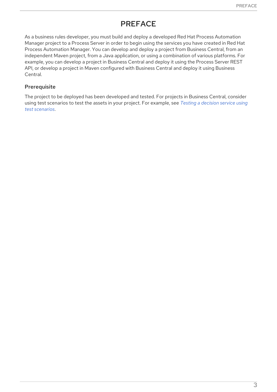### PREFACE

<span id="page-6-0"></span>As a business rules developer, you must build and deploy a developed Red Hat Process Automation Manager project to a Process Server in order to begin using the services you have created in Red Hat Process Automation Manager. You can develop and deploy a project from Business Central, from an independent Maven project, from a Java application, or using a combination of various platforms. For example, you can develop a project in Business Central and deploy it using the Process Server REST API, or develop a project in Maven configured with Business Central and deploy it using Business Central.

#### Prerequisite

The project to be deployed has been developed and tested. For projects in Business Central, consider using test [scenarios](https://access.redhat.com/documentation/en-us/red_hat_process_automation_manager/7.1/html-single/testing_a_decision_service_using_test_scenarios) to test the assets in your project. For example, see *Testing a decision service using test scenarios*.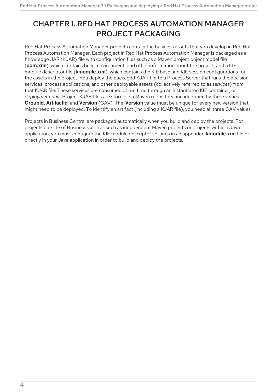## <span id="page-7-0"></span>CHAPTER 1. RED HAT PROCESS AUTOMATION MANAGER PROJECT PACKAGING

Red Hat Process Automation Manager projects contain the business assets that you develop in Red Hat Process Automation Manager. Each project in Red Hat Process Automation Manager is packaged as a Knowledge JAR (KJAR) file with configuration files such as a Maven project object model file (**pom.xml**), which contains build, environment, and other information about the project, and a KIE module descriptor file (**kmodule.xml**), which contains the KIE base and KIE session configurations for the assets in the project. You deploy the packaged KJAR file to a Process Server that runs the decision services, process applications, and other deployable assets (collectively referred to as *services*) from that KJAR file. These services are consumed at run time through an instantiated KIE container, or *deployment unit*. Project KJAR files are stored in a Maven repository and identified by three values: **GroupId**, **ArtifactId**, and **Version** (GAV). The **Version** value must be unique for every new version that might need to be deployed. To identify an artifact (including a KJAR file), you need all three GAV values.

Projects in Business Central are packaged automatically when you build and deploy the projects. For projects outside of Business Central, such as independent Maven projects or projects within a Java application, you must configure the KIE module descriptor settings in an appended **kmodule.xml** file or directly in your Java application in order to build and deploy the projects.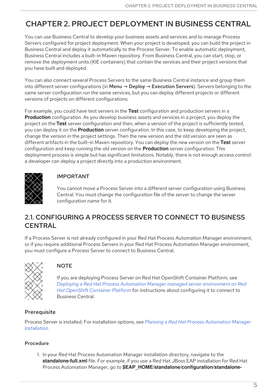## <span id="page-8-0"></span>CHAPTER 2. PROJECT DEPLOYMENT IN BUSINESS CENTRAL

You can use Business Central to develop your business assets and services and to manage Process Servers configured for project deployment. When your project is developed, you can build the project in Business Central and deploy it automatically to the Process Server. To enable automatic deployment, Business Central includes a built-in Maven repository. From Business Central, you can start, stop, or remove the deployment units (KIE containers) that contain the services and their project versions that you have built and deployed.

You can also connect several Process Servers to the same Business Central instance and group them into different server configurations (in Menu  $\rightarrow$  Deploy  $\rightarrow$  Execution Servers). Servers belonging to the same server configuration run the same services, but you can deploy different projects or different versions of projects on different configurations.

For example, you could have test servers in the **Test** configuration and production servers in a **Production** configuration. As you develop business assets and services in a project, you deploy the project on the **Test** server configuration and then, when a version of the project is sufficiently tested, you can deploy it on the **Production** server configuration. In this case, to keep developing the project, change the version in the project settings. Then the new version and the old version are seen as different artifacts in the built-in Maven repository. You can deploy the new version on the **Test** server configuration and keep running the old version on the **Production** server configuration. This deployment process is simple but has significant limitations. Notably, there is not enough access control: a developer can deploy a project directly into a production environment.



### IMPORTANT

You cannot move a Process Server into a different server configuration using Business Central. You must change the configuration file of the server to change the server configuration name for it.

### <span id="page-8-1"></span>2.1. CONFIGURING A PROCESS SERVER TO CONNECT TO BUSINESS **CENTRAL**

If a Process Server is not already configured in your Red Hat Process Automation Manager environment, or if you require additional Process Servers in your Red Hat Process Automation Manager environment, you must configure a Process Server to connect to Business Central.



#### **NOTE**

If you are deploying Process Server on Red Hat OpenShift Container Platform, see *Deploying a Red Hat Process Automation Manager managed server [environment](https://access.redhat.com/documentation/en-us/red_hat_process_automation_manager/7.1/html-single/deploying_a_red_hat_process_automation_manager_managed_server_environment_on_red_hat_openshift_container_platform) on Red Hat OpenShift Container Platform* for instructions about configuring it to connect to Business Central.

#### **Prerequisite**

Process Server is installed. For installation options, see *Planning a Red Hat Process [Automation](https://access.redhat.com/documentation/en-us/red_hat_process_automation_manager/7.1/html-single/planning_a_red_hat_process_automation_manager_installation) Manager installation*.

#### Procedure

1. In your Red Hat Process Automation Manager installation directory, navigate to the **standalone-full.xml** file. For example, if you use a Red Hat JBoss EAP installation for Red Hat Process Automation Manager, go to **\$EAP\_HOME/standalone/configuration/standalone-**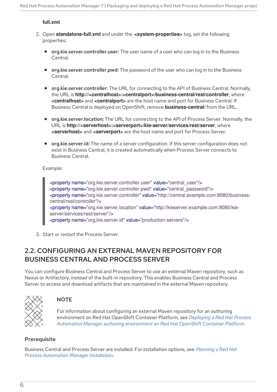#### **full.xml**.

- 2. Open **standalone-full.xml** and under the **<system-properties>** tag, set the following properties:
	- org.kie.server.controller.user: The user name of a user who can log in to the Business Central.
	- org.kie.server.controller.pwd: The password of the user who can log in to the Business Central.
	- **org.kie.server.controller:** The URL for connecting to the API of Business Central. Normally, the URL is **http://<centralhost>:<centralport>/business-central/rest/controller**, where **<centralhost>** and **<centralport>** are the host name and port for Business Central. If Business Central is deployed on OpenShift, remove **business-central/** from the URL.
	- org.kie.server.location: The URL for connecting to the API of Process Server. Normally, the URL is **http://<serverhost>:<serverport>/kie-server/services/rest/server**, where **<serverhost>** and **<serverport>** are the host name and port for Process Server.
	- org.kie.server.id: The name of a server configuration. If this server configuration does not exist in Business Central, it is created automatically when Process Server connects to Business Central.

Example:

<property name="org.kie.server.controller.user" value="central\_user"/> <property name="org.kie.server.controller.pwd" value="central\_password"/> <property name="org.kie.server.controller" value="http://central.example.com:8080/businesscentral/rest/controller"/> <property name="org.kie.server.location" value="http://kieserver.example.com:8080/kieserver/services/rest/server"/> <property name="org.kie.server.id" value="production-servers"/>

3. Start or restart the Process Server.

### <span id="page-9-0"></span>2.2. CONFIGURING AN EXTERNAL MAVEN REPOSITORY FOR BUSINESS CENTRAL AND PROCESS SERVER

You can configure Business Central and Process Server to use an external Maven repository, such as Nexus or Artifactory, instead of the built-in repository. This enables Business Central and Process Server to access and download artifacts that are maintained in the external Maven repository.



#### **NOTE**

For information about configuring an external Maven repository for an authoring [environment](https://access.redhat.com/documentation/en-us/red_hat_process_automation_manager/7.1/html-single/deploying_a_red_hat_process_automation_manager_authoring_environment_on_red_hat_openshift_container_platform#environment-authoring-con) on Red Hat OpenShift Container Platform, see *Deploying a Red Hat Process Automation Manager authoring environment on Red Hat OpenShift Container Platform*.

#### **Prerequisite**

Business Central and Process Server are installed. For installation options, see *Planning a Red Hat Process [Automation](https://access.redhat.com/documentation/en-us/red_hat_process_automation_manager/7.1/html-single/planning_a_red_hat_process_automation_manager_installation) Manager installation*.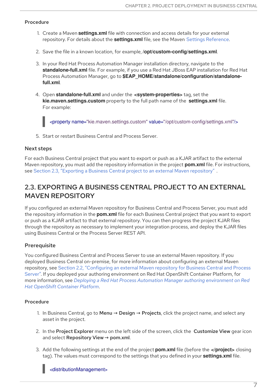#### <span id="page-10-1"></span>Procedure

- 1. Create a Maven **settings.xml** file with connection and access details for your external repository. For details about the **settings.xml** file, see the Maven Settings [Reference.](https://maven.apache.org/settings.html)
- 2. Save the file in a known location, for example, **/opt/custom-config/settings.xml**.
- 3. In your Red Hat Process Automation Manager installation directory, navigate to the **standalone-full.xml** file. For example, if you use a Red Hat JBoss EAP installation for Red Hat Process Automation Manager, go to **\$EAP\_HOME/standalone/configuration/standalonefull.xml**.
- 4. Open **standalone-full.xml** and under the **<system-properties>** tag, set the **kie.maven.settings.custom** property to the full path name of the **settings.xml** file. For example:

<property name="kie.maven.settings.custom" value="/opt/custom-config/settings.xml"/>

5. Start or restart Business Central and Process Server.

#### Next steps

For each Business Central project that you want to export or push as a KJAR artifact to the external Maven repository, you must add the repository information in the project **pom.xml** file. For instructions, see Section 2.3, "Exporting a Business Central project to an external Maven [repository"](#page-10-0) .

### <span id="page-10-0"></span>2.3. EXPORTING A BUSINESS CENTRAL PROJECT TO AN EXTERNAL MAVEN REPOSITORY

If you configured an external Maven repository for Business Central and Process Server, you must add the repository information in the **pom.xml** file for each Business Central project that you want to export or push as a KJAR artifact to that external repository. You can then progress the project KJAR files through the repository as necessary to implement your integration process, and deploy the KJAR files using Business Central or the Process Server REST API.

#### **Prerequisite**

You configured Business Central and Process Server to use an external Maven repository. If you deployed Business Central on-premise, for more information about configuring an external Maven repository, see Section 2.2, ["Configuring](#page-10-1) an external Maven repository for Business Central and Process Server". If you deployed your authoring environment on Red Hat OpenShift Container Platform, for more information, see *Deploying a Red Hat Process Automation Manager authoring [environment](https://access.redhat.com/documentation/en-us/red_hat_process_automation_manager/7.1/html-single/deploying_a_red_hat_process_automation_manager_authoring_environment_on_red_hat_openshift_container_platform#environment-authoring-con) on Red Hat OpenShift Container Platform*.

#### Procedure

- 1. In Business Central, go to **Menu → Design → Projects**, click the project name, and select any asset in the project.
- 2. In the Project Explorer menu on the left side of the screen, click the Customize View gear icon and select Repository View → pom.xml.
- 3. Add the following settings at the end of the project **pom.xml** file (before the **</project>** closing tag). The values must correspond to the settings that you defined in your **settings.xml** file.

#### <distributionManagement>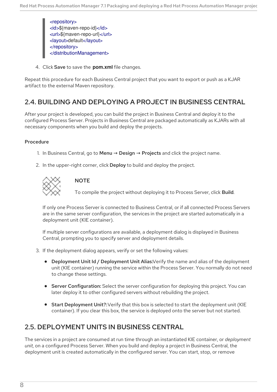<repository> <id>\${maven-repo-id}</id> <url>\${maven-repo-url}</url> <layout>default</layout> </repository> </distributionManagement>

4. Click Save to save the **pom.xml** file changes.

Repeat this procedure for each Business Central project that you want to export or push as a KJAR artifact to the external Maven repository.

### <span id="page-11-0"></span>2.4. BUILDING AND DEPLOYING A PROJECT IN BUSINESS CENTRAL

After your project is developed, you can build the project in Business Central and deploy it to the configured Process Server. Projects in Business Central are packaged automatically as KJARs with all necessary components when you build and deploy the projects.

#### Procedure

- 1. In Business Central, go to Menu → Design → Projects and click the project name.
- 2. In the upper-right corner, click Deploy to build and deploy the project.



#### **NOTE**

To compile the project without deploying it to Process Server, click Build.

If only one Process Server is connected to Business Central, or if all connected Process Servers are in the same server configuration, the services in the project are started automatically in a deployment unit (KIE container).

If multiple server configurations are available, a deployment dialog is displayed in Business Central, prompting you to specify server and deployment details.

- 3. If the deployment dialog appears, verify or set the following values:
	- **Deployment Unit Id / Deployment Unit Alias:** Verify the name and alias of the deployment unit (KIE container) running the service within the Process Server. You normally do not need to change these settings.
	- **Server Configuration:** Select the server configuration for deploying this project. You can later deploy it to other configured servers without rebuilding the project.
	- Start Deployment Unit?: Verify that this box is selected to start the deployment unit (KIE container). If you clear this box, the service is deployed onto the server but not started.

### <span id="page-11-1"></span>2.5. DEPLOYMENT UNITS IN BUSINESS CENTRAL

The services in a project are consumed at run time through an instantiated KIE container, or *deployment unit*, on a configured Process Server. When you build and deploy a project in Business Central, the deployment unit is created automatically in the configured server. You can start, stop, or remove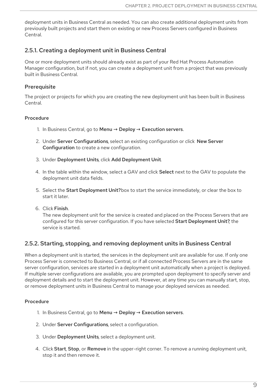deployment units in Business Central as needed. You can also create additional deployment units from previously built projects and start them on existing or new Process Servers configured in Business Central.

#### <span id="page-12-0"></span>2.5.1. Creating a deployment unit in Business Central

One or more deployment units should already exist as part of your Red Hat Process Automation Manager configuration, but if not, you can create a deployment unit from a project that was previously built in Business Central.

#### **Prerequisite**

The project or projects for which you are creating the new deployment unit has been built in Business Central.

#### Procedure

- 1. In Business Central, go to Menu → Deploy → Execution servers.
- 2. Under Server Configurations, select an existing configuration or click New Server Configuration to create a new configuration.
- 3. Under Deployment Units, click Add Deployment Unit.
- 4. In the table within the window, select a GAV and click Select next to the GAV to populate the deployment unit data fields.
- 5. Select the Start Deployment Unit?box to start the service immediately, or clear the box to start it later.
- 6. Click Finish.

The new deployment unit for the service is created and placed on the Process Servers that are configured for this server configuration. If you have selected Start Deployment Unit?, the service is started.

#### <span id="page-12-1"></span>2.5.2. Starting, stopping, and removing deployment units in Business Central

When a deployment unit is started, the services in the deployment unit are available for use. If only one Process Server is connected to Business Central, or if all connected Process Servers are in the same server configuration, services are started in a deployment unit automatically when a project is deployed. If multiple server configurations are available, you are prompted upon deployment to specify server and deployment details and to start the deployment unit. However, at any time you can manually start, stop, or remove deployment units in Business Central to manage your deployed services as needed.

#### **Procedure**

- 1. In Business Central, go to Menu → Deploy → Execution servers.
- 2. Under Server Configurations, select a configuration.
- 3. Under Deployment Units, select a deployment unit.
- 4. Click Start, Stop, or Remove in the upper-right corner. To remove a running deployment unit, stop it and then remove it.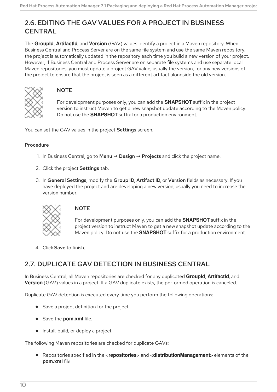### <span id="page-13-0"></span>2.6. EDITING THE GAV VALUES FOR A PROJECT IN BUSINESS **CENTRAL**

The **GroupId**, **ArtifactId**, and **Version** (GAV) values identify a project in a Maven repository. When Business Central and Process Server are on the same file system and use the same Maven repository, the project is automatically updated in the repository each time you build a new version of your project. However, if Business Central and Process Server are on separate file systems and use separate local Maven repositories, you must update a project GAV value, usually the version, for any new versions of the project to ensure that the project is seen as a different artifact alongside the old version.



#### **NOTE**

For development purposes only, you can add the **SNAPSHOT** suffix in the project version to instruct Maven to get a new snapshot update according to the Maven policy. Do not use the **SNAPSHOT** suffix for a production environment.

You can set the GAV values in the project Settings screen.

#### Procedure

- 1. In Business Central, go to Menu  $\rightarrow$  Design  $\rightarrow$  Projects and click the project name.
- 2. Click the project Settings tab.
- 3. In General Settings, modify the Group ID, Artifact ID, or Version fields as necessary. If you have deployed the project and are developing a new version, usually you need to increase the version number.



#### **NOTE**

For development purposes only, you can add the **SNAPSHOT** suffix in the project version to instruct Maven to get a new snapshot update according to the Maven policy. Do not use the **SNAPSHOT** suffix for a production environment.

4. Click Save to finish.

### <span id="page-13-1"></span>2.7. DUPLICATE GAV DETECTION IN BUSINESS CENTRAL

In Business Central, all Maven repositories are checked for any duplicated **GroupId**, **ArtifactId**, and **Version** (GAV) values in a project. If a GAV duplicate exists, the performed operation is canceled.

Duplicate GAV detection is executed every time you perform the following operations:

- Save a project definition for the project.
- **Save the pom.xml file.**
- Install, build, or deploy a project.

The following Maven repositories are checked for duplicate GAVs:

Repositories specified in the **<repositories>** and **<distributionManagement>** elements of the **pom.xml** file.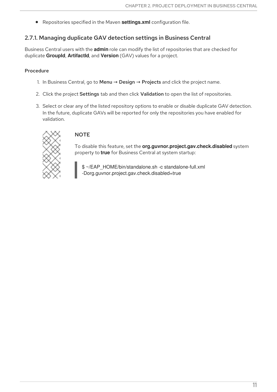Repositories specified in the Maven **settings.xml** configuration file.

#### <span id="page-14-0"></span>2.7.1. Managing duplicate GAV detection settings in Business Central

Business Central users with the **admin** role can modify the list of repositories that are checked for duplicate **GroupId**, **ArtifactId**, and **Version** (GAV) values for a project.

#### Procedure

- 1. In Business Central, go to **Menu → Design → Projects** and click the project name.
- 2. Click the project Settings tab and then click Validation to open the list of repositories.
- 3. Select or clear any of the listed repository options to enable or disable duplicate GAV detection. In the future, duplicate GAVs will be reported for only the repositories you have enabled for validation.



#### **NOTE**

To disable this feature, set the **org.guvnor.project.gav.check.disabled** system property to **true** for Business Central at system startup:

\$ ~/EAP\_HOME/bin/standalone.sh -c standalone-full.xml -Dorg.guvnor.project.gav.check.disabled=true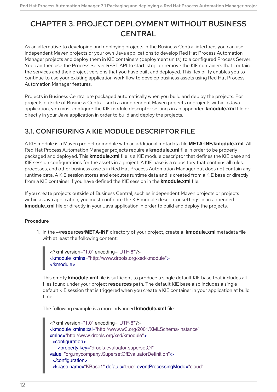### <span id="page-15-0"></span>CHAPTER 3. PROJECT DEPLOYMENT WITHOUT BUSINESS **CENTRAL**

As an alternative to developing and deploying projects in the Business Central interface, you can use independent Maven projects or your own Java applications to develop Red Hat Process Automation Manager projects and deploy them in KIE containers (deployment units) to a configured Process Server. You can then use the Process Server REST API to start, stop, or remove the KIE containers that contain the services and their project versions that you have built and deployed. This flexibility enables you to continue to use your existing application work flow to develop business assets using Red Hat Process Automation Manager features.

Projects in Business Central are packaged automatically when you build and deploy the projects. For projects outside of Business Central, such as independent Maven projects or projects within a Java application, you must configure the KIE module descriptor settings in an appended **kmodule.xml** file or directly in your Java application in order to build and deploy the projects.

### <span id="page-15-1"></span>3.1. CONFIGURING A KIE MODULE DESCRIPTOR FILE

A KIE module is a Maven project or module with an additional metadata file **META-INF/kmodule.xml**. All Red Hat Process Automation Manager projects require a **kmodule.xml** file in order to be properly packaged and deployed. This **kmodule.xml** file is a KIE module descriptor that defines the KIE base and KIE session configurations for the assets in a project. A KIE base is a repository that contains all rules, processes, and other business assets in Red Hat Process Automation Manager but does not contain any runtime data. A KIE session stores and executes runtime data and is created from a KIE base or directly from a KIE container if you have defined the KIE session in the **kmodule.xml** file.

If you create projects outside of Business Central, such as independent Maven projects or projects within a Java application, you must configure the KIE module descriptor settings in an appended **kmodule.xml** file or directly in your Java application in order to build and deploy the projects.

#### Procedure

1. In the **~/resources/META-INF** directory of your project, create a **kmodule.xml** metadata file with at least the following content:

```
<?xml version="1.0" encoding="UTF-8"?>
<kmodule xmlns="http://www.drools.org/xsd/kmodule">
</kmodule>
```
This empty **kmodule.xml** file is sufficient to produce a single default KIE base that includes all files found under your project **resources** path. The default KIE base also includes a single default KIE session that is triggered when you create a KIE container in your application at build time.

The following example is a more advanced **kmodule.xml** file:

```
<?xml version="1.0" encoding="UTF-8"?>
<kmodule xmlns:xsi="http://www.w3.org/2001/XMLSchema-instance"
xmlns="http://www.drools.org/xsd/kmodule">
 <configuration>
   <property key="drools.evaluator.supersetOf"
value="org.mycompany.SupersetOfEvaluatorDefinition"/>
 </configuration>
 <kbase name="KBase1" default="true" eventProcessingMode="cloud"
```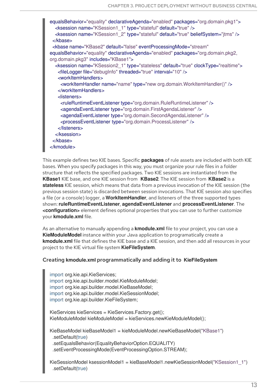equalsBehavior="equality" declarativeAgenda="enabled" packages="org.domain.pkg1"> <ksession name="KSession1\_1" type="stateful" default="true" /> <ksession name="KSession1\_2" type="stateful" default="true" beliefSystem="jtms" /> </kbase> <kbase name="KBase2" default="false" eventProcessingMode="stream" equalsBehavior="equality" declarativeAgenda="enabled" packages="org.domain.pkg2, org.domain.pkg3" includes="KBase1"> <ksession name="KSession2\_1" type="stateless" default="true" clockType="realtime"> <fileLogger file="debugInfo" threaded="true" interval="10" /> <workItemHandlers> <workItemHandler name="name" type="new org.domain.WorkItemHandler()" /> </workItemHandlers> <listeners> <ruleRuntimeEventListener type="org.domain.RuleRuntimeListener" /> <agendaEventListener type="org.domain.FirstAgendaListener" /> <agendaEventListener type="org.domain.SecondAgendaListener" /> <processEventListener type="org.domain.ProcessListener" /> </listeners> </ksession> </kbase> </kmodule>

This example defines two KIE bases. Specific **packages** of rule assets are included with both KIE bases. When you specify packages in this way, you must organize your rule files in a folder structure that reflects the specified packages. Two KIE sessions are instantiated from the **KBase1** KIE base, and one KIE session from **KBase2**. The KIE session from **KBase2** is a **stateless** KIE session, which means that data from a previous invocation of the KIE session (the previous session state) is discarded between session invocations. That KIE session also specifies a file (or a console) logger, a **WorkItemHandler**, and listeners of the three supported types shown: **ruleRuntimeEventListener**, **agendaEventListener** and **processEventListener**. The **<configuration>** element defines optional properties that you can use to further customize your **kmodule.xml** file.

As an alternative to manually appending a **kmodule.xml** file to your project, you can use a **KieModuleModel** instance within your Java application to programatically create a **kmodule.xml** file that defines the KIE base and a KIE session, and then add all resources in your project to the KIE virtual file system **KieFileSystem**.

#### Creating **kmodule.xml** programmatically and adding it to **KieFileSystem**

import org.kie.api.KieServices; import org.kie.api.builder.model.KieModuleModel; import org.kie.api.builder.model.KieBaseModel; import org.kie.api.builder.model.KieSessionModel; import org.kie.api.builder.KieFileSystem;

KieServices kieServices = KieServices.Factory.get(); KieModuleModel kieModuleModel = kieServices.newKieModuleModel();

KieBaseModel kieBaseModel1 = kieModuleModel.newKieBaseModel("KBase1") .setDefault(true) .setEqualsBehavior(EqualityBehaviorOption.EQUALITY) .setEventProcessingMode(EventProcessingOption.STREAM);

KieSessionModel ksessionModel1 = kieBaseModel1.newKieSessionModel("KSession1\_1") .setDefault(true)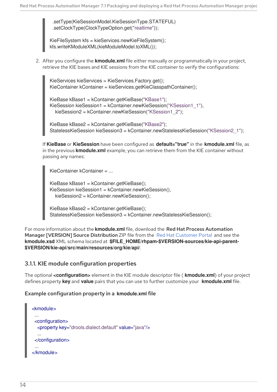.setType(KieSessionModel.KieSessionType.STATEFUL) .setClockType(ClockTypeOption.get("realtime"));

KieFileSystem kfs = kieServices.newKieFileSystem(); kfs.writeKModuleXML(kieModuleModel.toXML());

2. After you configure the **kmodule.xml** file either manually or programmatically in your project, retrieve the KIE bases and KIE sessions from the KIE container to verify the configurations:

KieServices kieServices = KieServices.Factory.get(); KieContainer kContainer = kieServices.getKieClasspathContainer();

KieBase kBase1 = kContainer.getKieBase("KBase1"); KieSession kieSession1 = kContainer.newKieSession("KSession1\_1"), kieSession2 = kContainer.newKieSession("KSession1\_2");

KieBase kBase2 = kContainer.getKieBase("KBase2"); StatelessKieSession kieSession3 = kContainer.newStatelessKieSession("KSession2\_1");

If **KieBase** or **KieSession** have been configured as **default="true"** in the **kmodule.xml** file, as in the previous **kmodule.xml** example, you can retrieve them from the KIE container without passing any names:

KieContainer kContainer = ...

KieBase kBase1 = kContainer.getKieBase(); KieSession kieSession1 = kContainer.newKieSession(), kieSession2 = kContainer.newKieSession();

KieBase kBase2 = kContainer.getKieBase(); StatelessKieSession kieSession3 = kContainer.newStatelessKieSession();

For more information about the **kmodule.xml** file, download the Red Hat Process Automation Manager [VERSION] Source Distribution ZIP file from the Red Hat [Customer](https://access.redhat.com/jbossnetwork/restricted/listSoftware.html) Portal and see the **kmodule.xsd** XML schema located at **\$FILE\_HOME/rhpam-\$VERSION-sources/kie-api-parent- \$VERSION/kie-api/src/main/resources/org/kie/api/**.

#### <span id="page-17-0"></span>3.1.1. KIE module configuration properties

The optional **<configuration>** element in the KIE module descriptor file ( **kmodule.xml**) of your project defines property **key** and **value** pairs that you can use to further customize your **kmodule.xml** file.

#### Example configuration property in a **kmodule.xml** file

```
<kmodule>
 ...
 <configuration>
  <property key="drools.dialect.default" value="java"/>
  ...
 </configuration>
 ...
</kmodule>
```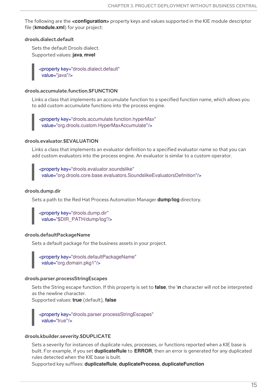<span id="page-18-0"></span>The following are the **<configuration>** property keys and values supported in the KIE module descriptor file (**kmodule.xml**) for your project:

#### drools.dialect.default

Sets the default Drools dialect. Supported values: **java**, **mvel**

> <property key="drools.dialect.default" value="java"/>

#### drools.accumulate.function.\$FUNCTION

Links a class that implements an accumulate function to a specified function name, which allows you to add custom accumulate functions into the process engine.

<property key="drools.accumulate.function.hyperMax" value="org.drools.custom.HyperMaxAccumulate"/>

#### drools.evaluator.\$EVALUATION

Links a class that implements an evaluator definition to a specified evaluator name so that you can add custom evaluators into the process engine. An evaluator is similar to a custom operator.

<property key="drools.evaluator.soundslike" value="org.drools.core.base.evaluators.SoundslikeEvaluatorsDefinition"/>

#### drools.dump.dir

Sets a path to the Red Hat Process Automation Manager **dump/log** directory.

```
<property key="drools.dump.dir"
 value="$DIR_PATH/dump/log"/>
```
#### drools.defaultPackageName

Sets a default package for the business assets in your project.

<property key="drools.defaultPackageName" value="org.domain.pkg1"/>

#### drools.parser.processStringEscapes

Sets the String escape function. If this property is set to **false**, the **\n** character will not be interpreted as the newline character.

Supported values: **true** (default), **false**

<property key="drools.parser.processStringEscapes" value="true"/>

#### drools.kbuilder.severity.\$DUPLICATE

Sets a severity for instances of duplicate rules, processes, or functions reported when a KIE base is built. For example, if you set **duplicateRule** to **ERROR**, then an error is generated for any duplicated rules detected when the KIE base is built.

Supported key suffixes: **duplicateRule**, **duplicateProcess**, **duplicateFunction**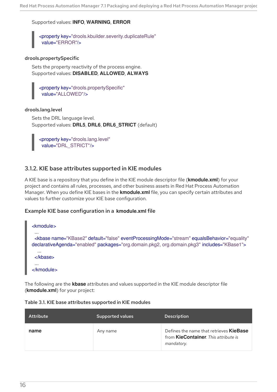#### Supported values: **INFO**, **WARNING**, **ERROR**

<property key="drools.kbuilder.severity.duplicateRule" value="ERROR"/>

#### drools.propertySpecific

Sets the property reactivity of the process engine. Supported values: **DISABLED**, **ALLOWED**, **ALWAYS**

<property key="drools.propertySpecific" value="ALLOWED"/>

#### drools.lang.level

Sets the DRL language level. Supported values: **DRL5**, **DRL6**, **DRL6\_STRICT** (default)

<property key="drools.lang.level" value="DRL\_STRICT"/>

#### <span id="page-19-0"></span>3.1.2. KIE base attributes supported in KIE modules

A KIE base is a repository that you define in the KIE module descriptor file (**kmodule.xml**) for your project and contains all rules, processes, and other business assets in Red Hat Process Automation Manager. When you define KIE bases in the **kmodule.xml** file, you can specify certain attributes and values to further customize your KIE base configuration.

#### Example KIE base configuration in a **kmodule.xml** file

| <kmodule></kmodule>                                                                                                                                                                                                  |
|----------------------------------------------------------------------------------------------------------------------------------------------------------------------------------------------------------------------|
| $\cdots$<br><kbase <br="" default="false" equalsbehavior="equality" eventprocessingmode="stream" name="KBase2">declarativeAgenda="enabled" packages="org.domain.pkg2, org.domain.pkg3" includes="KBase1"&gt;</kbase> |
| <br>                                                                                                                                                                                                                 |
| $\cdots$<br>$\langle$ kmodule $\rangle$                                                                                                                                                                              |

The following are the **kbase** attributes and values supported in the KIE module descriptor file (**kmodule.xml**) for your project:

| Attribute | <b>Supported values</b> | Description |
|-----------|-------------------------|-------------|

|  | Table 3.1. KIE base attributes supported in KIE modules |  |
|--|---------------------------------------------------------|--|

| name | Any name | Defines the name that retrieves <b>KieBase</b><br>from <b>KieContainer</b> . This attribute is<br>mandatory. |
|------|----------|--------------------------------------------------------------------------------------------------------------|
|      |          |                                                                                                              |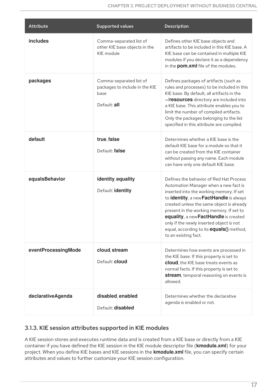| <b>Attribute</b>    | <b>Supported values</b>                                                           | Description                                                                                                                                                                                                                                                                                                                                                                                                                      |
|---------------------|-----------------------------------------------------------------------------------|----------------------------------------------------------------------------------------------------------------------------------------------------------------------------------------------------------------------------------------------------------------------------------------------------------------------------------------------------------------------------------------------------------------------------------|
| includes            | Comma-separated list of<br>other KIE base objects in the<br>KIE module            | Defines other KIE base objects and<br>artifacts to be included in this KIE base. A<br>KIE base can be contained in multiple KIE<br>modules if you declare it as a dependency<br>in the <b>pom.xml</b> file of the modules.                                                                                                                                                                                                       |
| packages            | Comma-separated list of<br>packages to include in the KIE<br>base<br>Default: all | Defines packages of artifacts (such as<br>rules and processes) to be included in this<br>KIE base. By default, all artifacts in the<br>~/resources directory are included into<br>a KIE base. This attribute enables you to<br>limit the number of compiled artifacts.<br>Only the packages belonging to the list<br>specified in this attribute are compiled.                                                                   |
| default             | true, false<br>Default: false                                                     | Determines whether a KIE base is the<br>default KIE base for a module so that it<br>can be created from the KIE container<br>without passing any name. Each module<br>can have only one default KIE base.                                                                                                                                                                                                                        |
| equalsBehavior      | identity, equality<br>Default: identity                                           | Defines the behavior of Red Hat Process<br>Automation Manager when a new fact is<br>inserted into the working memory. If set<br>to identity, a new FactHandle is always<br>created unless the same object is already<br>present in the working memory. If set to<br>equality, a new FactHandle is created<br>only if the newly inserted object is not<br>equal, according to its <b>equals()</b> method,<br>to an existing fact. |
| eventProcessingMode | cloud, stream<br>Default: cloud                                                   | Determines how events are processed in<br>the KIE base. If this property is set to<br>cloud, the KIE base treats events as<br>normal facts. If this property is set to<br>stream, temporal reasoning on events is<br>allowed.                                                                                                                                                                                                    |
| declarativeAgenda   | disabled, enabled<br>Default: disabled                                            | Determines whether the declarative<br>agenda is enabled or not.                                                                                                                                                                                                                                                                                                                                                                  |

### <span id="page-20-0"></span>3.1.3. KIE session attributes supported in KIE modules

A KIE session stores and executes runtime data and is created from a KIE base or directly from a KIE container if you have defined the KIE session in the KIE module descriptor file (**kmodule.xml**) for your project. When you define KIE bases and KIE sessions in the **kmodule.xml** file, you can specify certain attributes and values to further customize your KIE session configuration.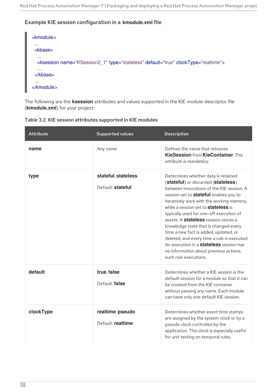#### Example KIE session configuration in a **kmodule.xml** file



The following are the **ksession** attributes and values supported in the KIE module descriptor file (**kmodule.xml**) for your project:

| Table 3.2. KIE session attributes supported in KIE modules |  |
|------------------------------------------------------------|--|
|------------------------------------------------------------|--|

| Attribute | <b>Supported values</b>                  | <b>Description</b>                                                                                                                                                                                                                                                                                                                                                                                                                                                                                                                                                                                                  |
|-----------|------------------------------------------|---------------------------------------------------------------------------------------------------------------------------------------------------------------------------------------------------------------------------------------------------------------------------------------------------------------------------------------------------------------------------------------------------------------------------------------------------------------------------------------------------------------------------------------------------------------------------------------------------------------------|
| name      | Any name                                 | Defines the name that retrieves<br><b>KieSession from KieContainer. This</b><br>attribute is mandatory.                                                                                                                                                                                                                                                                                                                                                                                                                                                                                                             |
| type      | stateful, stateless<br>Default: stateful | Determines whether data is retained<br>(stateful) or discarded (stateless)<br>between invocations of the KIE session. A<br>session set to <b>stateful</b> enables you to<br>iteratively work with the working memory,<br>while a session set to <b>stateless</b> is<br>typically used for one-off execution of<br>assets. A <b>stateless</b> session stores a<br>knowledge state that is changed every<br>time a new fact is added, updated, or<br>deleted, and every time a rule is executed.<br>An execution in a <b>stateless</b> session has<br>no information about previous actions,<br>such rule executions. |
| default   | true, false<br>Default: false            | Determines whether a KIE session is the<br>default session for a module so that it can<br>be created from the KIE container<br>without passing any name. Each module<br>can have only one default KIE session.                                                                                                                                                                                                                                                                                                                                                                                                      |
| clockType | realtime, pseudo<br>Default: realtime    | Determines whether event time stamps<br>are assigned by the system clock or by a<br>pseudo clock controlled by the<br>application. This clock is especially useful<br>for unit testing on temporal rules.                                                                                                                                                                                                                                                                                                                                                                                                           |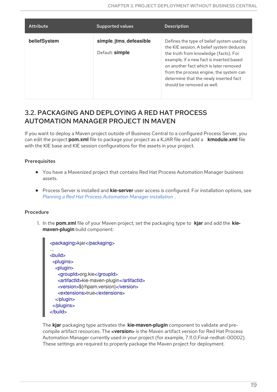| <b>Attribute</b> | <b>Supported values</b>                     | <b>Description</b>                                                                                                                                                                                                                                                                                                                      |
|------------------|---------------------------------------------|-----------------------------------------------------------------------------------------------------------------------------------------------------------------------------------------------------------------------------------------------------------------------------------------------------------------------------------------|
| beliefSystem     | simple, jtms, defeasible<br>Default: simple | Defines the type of belief system used by<br>the KIE session. A belief system deduces<br>the truth from knowledge (facts). For<br>example, if a new fact is inserted based<br>on another fact which is later removed<br>from the process engine, the system can<br>determine that the newly inserted fact<br>should be removed as well. |

### <span id="page-22-0"></span>3.2. PACKAGING AND DEPLOYING A RED HAT PROCESS AUTOMATION MANAGER PROJECT IN MAVEN

If you want to deploy a Maven project outside of Business Central to a configured Process Server, you can edit the project **pom.xml** file to package your project as a KJAR file and add a **kmodule.xml** file with the KIE base and KIE session configurations for the assets in your project.

#### **Prerequisites**

- You have a Mavenized project that contains Red Hat Process Automation Manager business assets.
- Process Server is installed and **kie-server** user access is configured. For installation options, see *Planning a Red Hat Process [Automation](https://access.redhat.com/documentation/en-us/red_hat_process_automation_manager/7.1/html-single/planning_a_red_hat_process_automation_manager_installation) Manager installation* .

#### Procedure

1. In the **pom.xml** file of your Maven project, set the packaging type to **kjar** and add the **kiemaven-plugin** build component:

The **kjar** packaging type activates the **kie-maven-plugin** component to validate and precompile artifact resources. The **<version>** is the Maven artifact version for Red Hat Process Automation Manager currently used in your project (for example, 7.11.0.Final-redhat-00002). These settings are required to properly package the Maven project for deployment.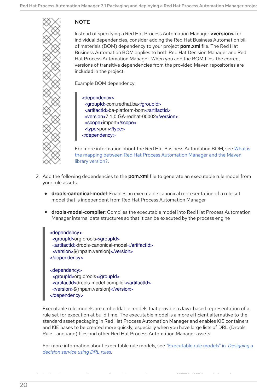### **NOTE**

Instead of specifying a Red Hat Process Automation Manager **<version>** for individual dependencies, consider adding the Red Hat Business Automation bill of materials (BOM) dependency to your project **pom.xml** file. The Red Hat Business Automation BOM applies to both Red Hat Decision Manager and Red Hat Process Automation Manager. When you add the BOM files, the correct versions of transitive dependencies from the provided Maven repositories are included in the project.

Example BOM dependency:

#### <dependency> <groupId>com.redhat.ba</groupId> <artifactId>ba-platform-bom</artifactId> <version>7.1.0.GA-redhat-00002</version> <scope>import</scope> <type>pom</type> </dependency>

For more information about the Red Hat Business Automation BOM, see What is the mapping between Red Hat Process [Automation](https://access.redhat.com/solutions/3405361) Manager and the Maven library version?.

- 2. Add the following dependencies to the **pom.xml** file to generate an executable rule model from your rule assets:
	- **drools-canonical-model**: Enables an executable canonical representation of a rule set model that is independent from Red Hat Process Automation Manager
	- **drools-model-compiler**: Compiles the executable model into Red Hat Process Automation Manager internal data structures so that it can be executed by the process engine

<dependency> <groupId>org.drools</groupId> <artifactId>drools-canonical-model</artifactId> <version>\${rhpam.version}</version> </dependency>

<dependency> <groupId>org.drools</groupId> <artifactId>drools-model-compiler</artifactId> <version>\${rhpam.version}</version> </dependency>

Executable rule models are embeddable models that provide a Java-based representation of a rule set for execution at build time. The executable model is a more efficient alternative to the standard asset packaging in Red Hat Process Automation Manager and enables KIE containers and KIE bases to be created more quickly, especially when you have large lists of DRL (Drools Rule Language) files and other Red Hat Process Automation Manager assets.

For more information about executable rule models, see ["Executable](https://access.redhat.com/documentation/en-us/red_hat_process_automation_manager/7.1/html-single/designing_a_decision_service_using_drl_rules#executable-model-con_execute-rules) rule models" in *Designing a decision service using DRL rules*.

3. In the **~/resources** directory of your Maven project, create a **META-INF/kmodule.xml**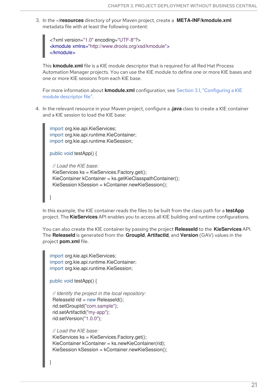3. In the **~/resources** directory of your Maven project, create a **META-INF/kmodule.xml** metadata file with at least the following content:

```
<?xml version="1.0" encoding="UTF-8"?>
<kmodule xmlns="http://www.drools.org/xsd/kmodule">
</kmodule>
```
This **kmodule.xml** file is a KIE module descriptor that is required for all Red Hat Process Automation Manager projects. You can use the KIE module to define one or more KIE bases and one or more KIE sessions from each KIE base.

For more information about **kmodule.xml** [configuration,](#page-18-0) see Section 3.1, "Configuring a KIE module descriptor file".

4. In the relevant resource in your Maven project, configure a **.java** class to create a KIE container and a KIE session to load the KIE base:

import org.kie.api.KieServices; import org.kie.api.runtime.KieContainer; import org.kie.api.runtime.KieSession;

public void testApp() {

}

}

*// Load the KIE base:* KieServices ks = KieServices.Factory.get(); KieContainer kContainer = ks.getKieClasspathContainer(); KieSession kSession = kContainer.newKieSession();

In this example, the KIE container reads the files to be built from the class path for a **testApp** project. The **KieServices** API enables you to access all KIE building and runtime configurations.

You can also create the KIE container by passing the project **ReleaseId** to the **KieServices** API. The **ReleaseId** is generated from the **GroupId**, **ArtifactId**, and **Version** (GAV) values in the project **pom.xml** file.

```
import org.kie.api.KieServices;
import org.kie.api.runtime.KieContainer;
import org.kie.api.runtime.KieSession;
```

```
public void testApp() {
```

```
// Identify the project in the local repository:
ReleaseId rid = new ReleaseId();
rid.setGroupId("com.sample");
rid.setArtifactId("my-app");
rid.setVersion("1.0.0");
```
*// Load the KIE base:* KieServices ks = KieServices.Factory.get(); KieContainer kContainer = ks.newKieContainer(rid); KieSession kSession = kContainer.newKieSession();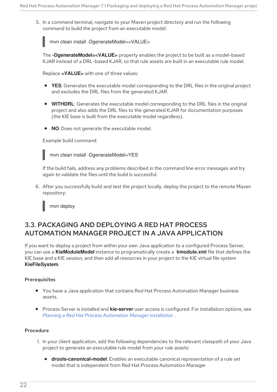5. In a command terminal, navigate to your Maven project directory and run the following command to build the project from an executable model:

mvn clean install -DgenerateModel=<VALUE>

The **-DgenerateModel=<VALUE>** property enables the project to be built as a model-based KJAR instead of a DRL-based KJAR, so that rule assets are built in an executable rule model.

Replace **<VALUE>** with one of three values:

- **YES**: Generates the executable model corresponding to the DRL files in the original project and excludes the DRL files from the generated KJAR.
- **WITHDRL**: Generates the executable model corresponding to the DRL files in the original project and also adds the DRL files to the generated KJAR for documentation purposes (the KIE base is built from the executable model regardless).
- **NO**: Does not generate the executable model.

Example build command:



If the build fails, address any problems described in the command line error messages and try again to validate the files until the build is successful.

6. After you successfully build and test the project locally, deploy the project to the remote Maven repository:

mvn deploy

### <span id="page-25-0"></span>3.3. PACKAGING AND DEPLOYING A RED HAT PROCESS AUTOMATION MANAGER PROJECT IN A JAVA APPLICATION

If you want to deploy a project from within your own Java application to a configured Process Server, you can use a **KieModuleModel** instance to programatically create a **kmodule.xml** file that defines the KIE base and a KIE session, and then add all resources in your project to the KIE virtual file system **KieFileSystem**.

#### **Prerequisites**

- You have a Java application that contains Red Hat Process Automation Manager business assets.
- Process Server is installed and **kie-server** user access is configured. For installation options, see *Planning a Red Hat Process [Automation](https://access.redhat.com/documentation/en-us/red_hat_process_automation_manager/7.1/html-single/planning_a_red_hat_process_automation_manager_installation) Manager installation* .

#### Procedure

- 1. In your client application, add the following dependencies to the relevant classpath of your Java project to generate an executable rule model from your rule assets:
	- **drools-canonical-model**: Enables an executable canonical representation of a rule set model that is independent from Red Hat Process Automation Manager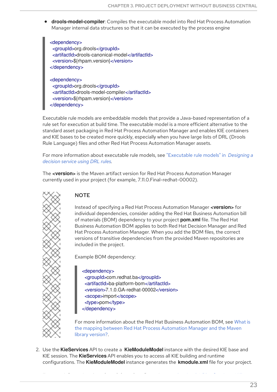**drools-model-compiler**: Compiles the executable model into Red Hat Process Automation Manager internal data structures so that it can be executed by the process engine

<dependency> <groupId>org.drools</groupId> <artifactId>drools-canonical-model</artifactId> <version>\${rhpam.version}</version> </dependency> <dependency>

<groupId>org.drools</groupId> <artifactId>drools-model-compiler</artifactId> <version>\${rhpam.version}</version> </dependency>

Executable rule models are embeddable models that provide a Java-based representation of a rule set for execution at build time. The executable model is a more efficient alternative to the standard asset packaging in Red Hat Process Automation Manager and enables KIE containers and KIE bases to be created more quickly, especially when you have large lists of DRL (Drools Rule Language) files and other Red Hat Process Automation Manager assets.

For more information about executable rule models, see ["Executable](https://access.redhat.com/documentation/en-us/red_hat_process_automation_manager/7.1/html-single/designing_a_decision_service_using_drl_rules#executable-model-con_execute-rules) rule models" in *Designing a decision service using DRL rules*.

The **<version>** is the Maven artifact version for Red Hat Process Automation Manager currently used in your project (for example, 7.11.0.Final-redhat-00002).



#### **NOTE**

Instead of specifying a Red Hat Process Automation Manager **<version>** for individual dependencies, consider adding the Red Hat Business Automation bill of materials (BOM) dependency to your project **pom.xml** file. The Red Hat Business Automation BOM applies to both Red Hat Decision Manager and Red Hat Process Automation Manager. When you add the BOM files, the correct versions of transitive dependencies from the provided Maven repositories are included in the project.

Example BOM dependency:

<dependency> <groupId>com.redhat.ba</groupId> <artifactId>ba-platform-bom</artifactId> <version>7.1.0.GA-redhat-00002</version> <scope>import</scope> <type>pom</type> </dependency>

For more information about the Red Hat Business [Automation](https://access.redhat.com/solutions/3405361) BOM, see What is the mapping between Red Hat Process Automation Manager and the Maven library version?.

2. Use the **KieServices** API to create a **KieModuleModel** instance with the desired KIE base and KIE session. The **KieServices** API enables you to access all KIE building and runtime configurations. The **KieModuleModel** instance generates the **kmodule.xml** file for your project.

For more information about **kmodule.xml** configuration, see Section 3.1, "Configuring a KIE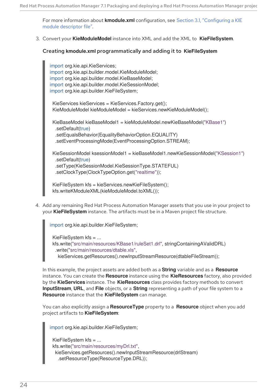For more information about **kmodule.xml** [configuration,](#page-18-0) see Section 3.1, "Configuring a KIE module descriptor file".

3. Convert your **KieModuleModel** instance into XML and add the XML to **KieFileSystem**.

#### Creating **kmodule.xml** programmatically and adding it to **KieFileSystem**

import org.kie.api.KieServices; import org.kie.api.builder.model.KieModuleModel; import org.kie.api.builder.model.KieBaseModel; import org.kie.api.builder.model.KieSessionModel; import org.kie.api.builder.KieFileSystem;

KieServices kieServices = KieServices.Factory.get(); KieModuleModel kieModuleModel = kieServices.newKieModuleModel();

KieBaseModel kieBaseModel1 = kieModuleModel.newKieBaseModel("KBase1") .setDefault(true) .setEqualsBehavior(EqualityBehaviorOption.EQUALITY) .setEventProcessingMode(EventProcessingOption.STREAM);

KieSessionModel ksessionModel1 = kieBaseModel1.newKieSessionModel("KSession1") .setDefault(true) .setType(KieSessionModel.KieSessionType.STATEFUL) .setClockType(ClockTypeOption.get("realtime"));

KieFileSystem kfs = kieServices.newKieFileSystem(); kfs.writeKModuleXML(kieModuleModel.toXML());

4. Add any remaining Red Hat Process Automation Manager assets that you use in your project to your **KieFileSystem** instance. The artifacts must be in a Maven project file structure.

import org.kie.api.builder.KieFileSystem;

KieFileSystem kfs = ... kfs.write("src/main/resources/KBase1/ruleSet1.drl", stringContainingAValidDRL) .write("src/main/resources/dtable.xls", kieServices.getResources().newInputStreamResource(dtableFileStream));

In this example, the project assets are added both as a **String** variable and as a **Resource** instance. You can create the **Resource** instance using the **KieResources** factory, also provided by the **KieServices** instance. The **KieResources** class provides factory methods to convert **InputStream**, **URL**, and **File** objects, or a **String** representing a path of your file system to a **Resource** instance that the **KieFileSystem** can manage.

You can also explicitly assign a **ResourceType** property to a **Resource** object when you add project artifacts to **KieFileSystem**:

import org.kie.api.builder.KieFileSystem;

```
KieFileSystem kfs = ...
kfs.write("src/main/resources/myDrl.txt",
 kieServices.getResources().newInputStreamResource(drlStream)
  .setResourceType(ResourceType.DRL));
```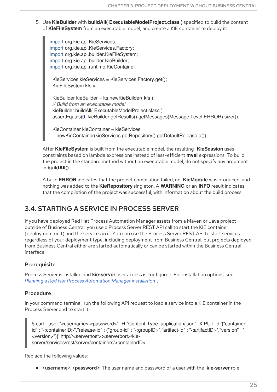5. Use **KieBuilder** with **buildAll( ExecutableModelProject.class )** specified to build the content of **KieFileSystem** from an executable model, and create a KIE container to deploy it:

import org.kie.api.KieServices; import org.kie.api.KieServices.Factory; import org.kie.api.builder.KieFileSystem; import org.kie.api.builder.KieBuilder; import org.kie.api.runtime.KieContainer;

KieServices kieServices = KieServices.Factory.get(); KieFileSystem kfs = ...

KieBuilder kieBuilder = ks.newKieBuilder( kfs ); *// Build from an executable model* kieBuilder.buildAll( ExecutableModelProject.class ) assertEquals(0, kieBuilder.getResults().getMessages(Message.Level.ERROR).size());

KieContainer kieContainer = kieServices .newKieContainer(kieServices.getRepository().getDefaultReleaseId());

After **KieFileSystem** is built from the executable model, the resulting **KieSession** uses constraints based on lambda expressions instead of less-efficient **mvel** expressions. To build the project in the standard method without an executable model, do not specify any argument in **buildAll()**.

A build **ERROR** indicates that the project compilation failed, no **KieModule** was produced, and nothing was added to the **KieRepository** singleton. A **WARNING** or an **INFO** result indicates that the compilation of the project was successful, with information about the build process.

### <span id="page-28-0"></span>3.4. STARTING A SERVICE IN PROCESS SERVER

If you have deployed Red Hat Process Automation Manager assets from a Maven or Java project outside of Business Central, you use a Process Server REST API call to start the KIE container (deployment unit) and the services in it. You can use the Process Server REST API to start services regardless of your deployment type, including deployment from Business Central, but projects deployed from Business Central either are started automatically or can be started within the Business Central interface.

#### **Prerequisite**

Process Server is installed and **kie-server** user access is configured. For installation options, see *Planning a Red Hat Process [Automation](https://access.redhat.com/documentation/en-us/red_hat_process_automation_manager/7.1/html-single/planning_a_red_hat_process_automation_manager_installation) Manager installation* .

#### Procedure

In your command terminal, run the following API request to load a service into a KIE container in the Process Server and to start it:

\$ curl --user "<username>:<password>" -H "Content-Type: application/json" -X PUT -d '{"containerid" : "<containerID>","release-id" : {"group-id" : "<groupID>","artifact-id" : "<artifactID>","version" : " <version>"}}' http://<serverhost>:<serverport>/kieserver/services/rest/server/containers/<containerID>

Replace the following values:

**• <username>, <password>:** The user name and password of a user with the **kie-server** role.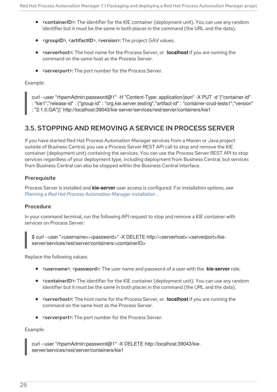- <containerID>: The identifier for the KIE container (deployment unit). You can use any random identifier but it must be the same in both places in the command (the URL and the data).
- <groupID>, <artifactID>, <version>: The project GAV values.
- **<serverhost>:** The host name for the Process Server, or **localhost** if you are running the command on the same host as the Process Server.
- <serverport>: The port number for the Process Server.

Example:

curl --user "rhpamAdmin:password@1" -H "Content-Type: application/json" -X PUT -d '{"container-id" : "kie1","release-id" : {"group-id" : "org.kie.server.testing","artifact-id" : "container-crud-tests1","version" : "2.1.0.GA"}}' http://localhost:39043/kie-server/services/rest/server/containers/kie1

### <span id="page-29-0"></span>3.5. STOPPING AND REMOVING A SERVICE IN PROCESS SERVER

If you have started Red Hat Process Automation Manager services from a Maven or Java project outside of Business Central, you use a Process Server REST API call to stop and remove the KIE container (deployment unit) containing the services. You can use the Process Server REST API to stop services regardless of your deployment type, including deployment from Business Central, but services from Business Central can also be stopped within the Business Central interface.

#### **Prerequisite**

Process Server is installed and **kie-server** user access is configured. For installation options, see *Planning a Red Hat Process [Automation](https://access.redhat.com/documentation/en-us/red_hat_process_automation_manager/7.1/html-single/planning_a_red_hat_process_automation_manager_installation) Manager installation* .

#### Procedure

In your command terminal, run the following API request to stop and remove a KIE container with services on Process Server:

\$ curl --user "<username>:<password>" -X DELETE http://<serverhost>:<serverport>/kieserver/services/rest/server/containers/<containerID>

Replace the following values:

- **<username>, <password>:** The user name and password of a user with the **kie-server** role.
- <containerID>: The identifier for the KIE container (deployment unit). You can use any random identifier but it must be the same in both places in the command (the URL and the data).
- <serverhost>: The host name for the Process Server, or **localhost** if you are running the command on the same host as the Process Server.
- **<serverport>:** The port number for the Process Server.

Example:

curl --user "rhpamAdmin:password@1" -X DELETE http://localhost:39043/kieserver/services/rest/server/containers/kie1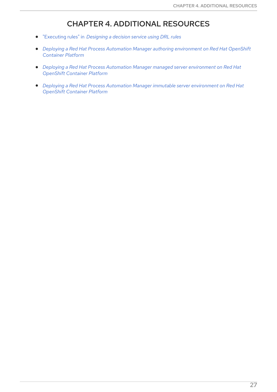### CHAPTER 4. ADDITIONAL RESOURCES

- <span id="page-30-0"></span>["Executing](https://access.redhat.com/documentation/en-us/red_hat_process_automation_manager/7.1/html-single/designing_a_decision_service_using_drl_rules#assets-executing-proc_execute-rules) rules" in *Designing a decision service using DRL rules*
- *Deploying a Red Hat Process Automation Manager authoring [environment](https://access.redhat.com/documentation/en-us/red_hat_process_automation_manager/7.1/html-single/deploying_a_red_hat_process_automation_manager_authoring_environment_on_red_hat_openshift_container_platform) on Red Hat OpenShift Container Platform*
- *Deploying a Red Hat Process Automation Manager managed server [environment](https://access.redhat.com/documentation/en-us/red_hat_process_automation_manager/7.1/html-single/deploying_a_red_hat_process_automation_manager_managed_server_environment_on_red_hat_openshift_container_platform) on Red Hat OpenShift Container Platform*
- *Deploying a Red Hat Process Automation Manager immutable server [environment](https://access.redhat.com/documentation/en-us/red_hat_process_automation_manager/7.1/html-single/deploying_a_red_hat_process_automation_manager_immutable_server_environment_on_red_hat_openshift_container_platform) on Red Hat OpenShift Container Platform*